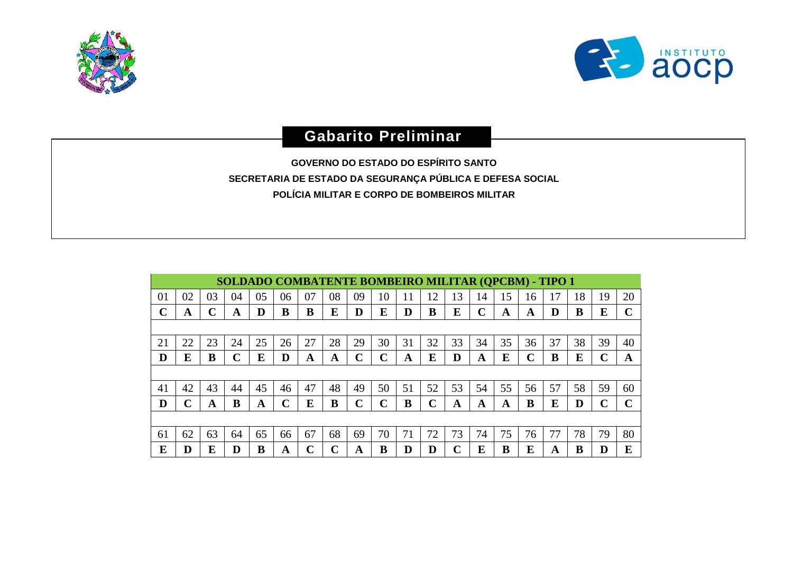



## **Gabarito Preliminar**

**GOVERNO DO ESTADO DO ESPÍRITO SANTO SECRETARIA DE ESTADO DA SEGURANÇA PÚBLICA E DEFESA SOCIAL POLÍCIA MILITAR E CORPO DE BOMBEIROS MILITAR**

|    | SOLDADO COMBATENTE BOMBEIRO MILITAR (QPCBM) - TIPO 1 |    |    |    |             |    |    |             |    |    |    |    |             |    |    |    |    |    |             |
|----|------------------------------------------------------|----|----|----|-------------|----|----|-------------|----|----|----|----|-------------|----|----|----|----|----|-------------|
| 01 | 02                                                   | 03 | 04 | 05 | 06          | 07 | 08 | 09          | 10 | 11 | 12 | 13 | 14          | 15 | 16 | 17 | 18 | 19 | 20          |
| ∩  | A                                                    |    | A  | D  | B           | B  | E  | D           | E  | D  | B  | E  | $\mathbf C$ | A  | A  | D  | B  | E  | $\mathbf C$ |
|    |                                                      |    |    |    |             |    |    |             |    |    |    |    |             |    |    |    |    |    |             |
| 21 | 22                                                   | 23 | 24 | 25 | 26          | 27 | 28 | 29          | 30 | 31 | 32 | 33 | 34          | 35 | 36 | 37 | 38 | 39 | 40          |
| D  | E                                                    | B  | C  | E  | D           | A  | A  | C           | C  | A  | E  | D  | A           | E  | C  | B  | E  | r  | A           |
|    |                                                      |    |    |    |             |    |    |             |    |    |    |    |             |    |    |    |    |    |             |
| 41 | 42                                                   | 43 | 44 | 45 | 46          | 47 | 48 | 49          | 50 | 51 | 52 | 53 | 54          | 55 | 56 | 57 | 58 | 59 | 60          |
| D  | ⌒                                                    | A  | В  | A  | $\mathbf C$ | E  | B  | $\mathbf C$ | C  | B  | C  | A  | A           | A  | B  | E  | D  | r  | C           |
|    |                                                      |    |    |    |             |    |    |             |    |    |    |    |             |    |    |    |    |    |             |
| 61 | 62                                                   | 63 | 64 | 65 | 66          | 67 | 68 | 69          | 70 | 71 | 72 | 73 | 74          | 75 | 76 | 77 | 78 | 79 | 80          |
| E  | D                                                    | E  | D  | B  | A           | C  | C  | A           | В  | D  | D  | C  | E           | B  | E  | A  | в  |    | E           |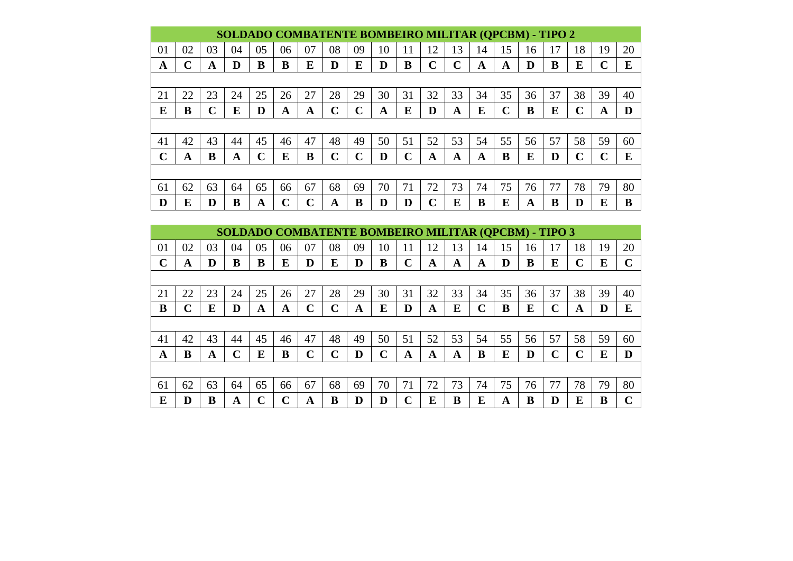|             | SOLDADO COMBATENTE BOMBEIRO MILITAR (QPCBM) - TIPO 2 |    |    |    |    |    |             |             |    |             |    |    |    |             |    |    |                             |    |    |
|-------------|------------------------------------------------------|----|----|----|----|----|-------------|-------------|----|-------------|----|----|----|-------------|----|----|-----------------------------|----|----|
| 01          | 02                                                   | 03 | 04 | 05 | 06 | 07 | 08          | 09          | 10 | 11          | 12 | 13 | 14 | 15          | 16 | 17 | 18                          | 19 | 20 |
| A           | C                                                    | A  | D  | B  | B  | E  | D           | E           | D  | B           | C  | C  | A  | A           | D  | B  | E                           | ∩  | E  |
|             |                                                      |    |    |    |    |    |             |             |    |             |    |    |    |             |    |    |                             |    |    |
| 21          | 22                                                   | 23 | 24 | 25 | 26 | 27 | 28          | 29          | 30 | 31          | 32 | 33 | 34 | 35          | 36 | 37 | 38                          | 39 | 40 |
| E           | B                                                    | C  | E  | D  | A  | A  | $\mathbf C$ | C           | A  | E           | D  | A  | E  | $\mathbf C$ | B  | E  |                             | A  | D  |
|             |                                                      |    |    |    |    |    |             |             |    |             |    |    |    |             |    |    |                             |    |    |
| 41          | 42                                                   | 43 | 44 | 45 | 46 | 47 | 48          | 49          | 50 | 51          | 52 | 53 | 54 | 55          | 56 | 57 | 58                          | 59 | 60 |
| $\mathbf C$ | A                                                    | B  | A  | ◠  | E  | B  | $\mathbf C$ | $\mathbf C$ | D  | $\mathbf C$ | A  | A  | A  | B           | E  | D  | $\mathcal{C}_{\mathcal{C}}$ | ⌒  | E  |
|             |                                                      |    |    |    |    |    |             |             |    |             |    |    |    |             |    |    |                             |    |    |
| 61          | 62                                                   | 63 | 64 | 65 | 66 | 67 | 68          | 69          | 70 | 71          | 72 | 73 | 74 | 75          | 76 | 77 | 78                          | 79 | 80 |
| D           | E                                                    | D  | В  | A  | r  | ∩  | A           | B           | D  |             | ⌒  | E  | B  | E           | A  | B  | D                           | E  | B  |

|    | SOLDADO COMBATENTE BOMBEIRO MILITAR (QPCBM) - TIPO 3 |    |    |    |        |             |             |    |    |    |    |    |             |    |    |    |        |    |             |
|----|------------------------------------------------------|----|----|----|--------|-------------|-------------|----|----|----|----|----|-------------|----|----|----|--------|----|-------------|
| 01 | 02                                                   | 03 | 04 | 05 | 06     | 07          | 08          | 09 | 10 | 11 | 12 | 13 | 14          | 15 | 16 | 17 | 18     | 19 | 20          |
| C  | A                                                    | D  | B  | B  | E      | D           | E           | D  | B  | C  | A  | A  | A           | D  | B  | E  | C      | E  | $\mathbf C$ |
|    |                                                      |    |    |    |        |             |             |    |    |    |    |    |             |    |    |    |        |    |             |
| 21 | 22                                                   | 23 | 24 | 25 | 26     | 27          | 28          | 29 | 30 | 31 | 32 | 33 | 34          | 35 | 36 | 37 | 38     | 39 | 40          |
| B  | C                                                    | E  | D  | A  | A      | $\mathbf C$ | C           | A  | E  | D  | A  | E  | $\mathbf C$ | B  | E  | C  | A      | D  | E           |
|    |                                                      |    |    |    |        |             |             |    |    |    |    |    |             |    |    |    |        |    |             |
| 41 | 42                                                   | 43 | 44 | 45 | 46     | 47          | 48          | 49 | 50 | 51 | 52 | 53 | 54          | 55 | 56 | 57 | 58     | 59 | 60          |
| A  | B                                                    | A  | ⌒  | E  | B      | $\mathbf C$ | $\mathbf C$ | D  | ⌒  | A  | A  | A  | B           | E  | D  | ⌒  | $\sim$ | E  | D           |
|    |                                                      |    |    |    |        |             |             |    |    |    |    |    |             |    |    |    |        |    |             |
| 61 | 62                                                   | 63 | 64 | 65 | 66     | 67          | 68          | 69 | 70 | 71 | 72 | 73 | 74          | 75 | 76 | 77 | 78     | 79 | 80          |
| E  |                                                      | B  | A  |    | $\sim$ | A           | B           | D  | D  |    | E  | в  | E           | A  | B  | D  | E      | B  |             |